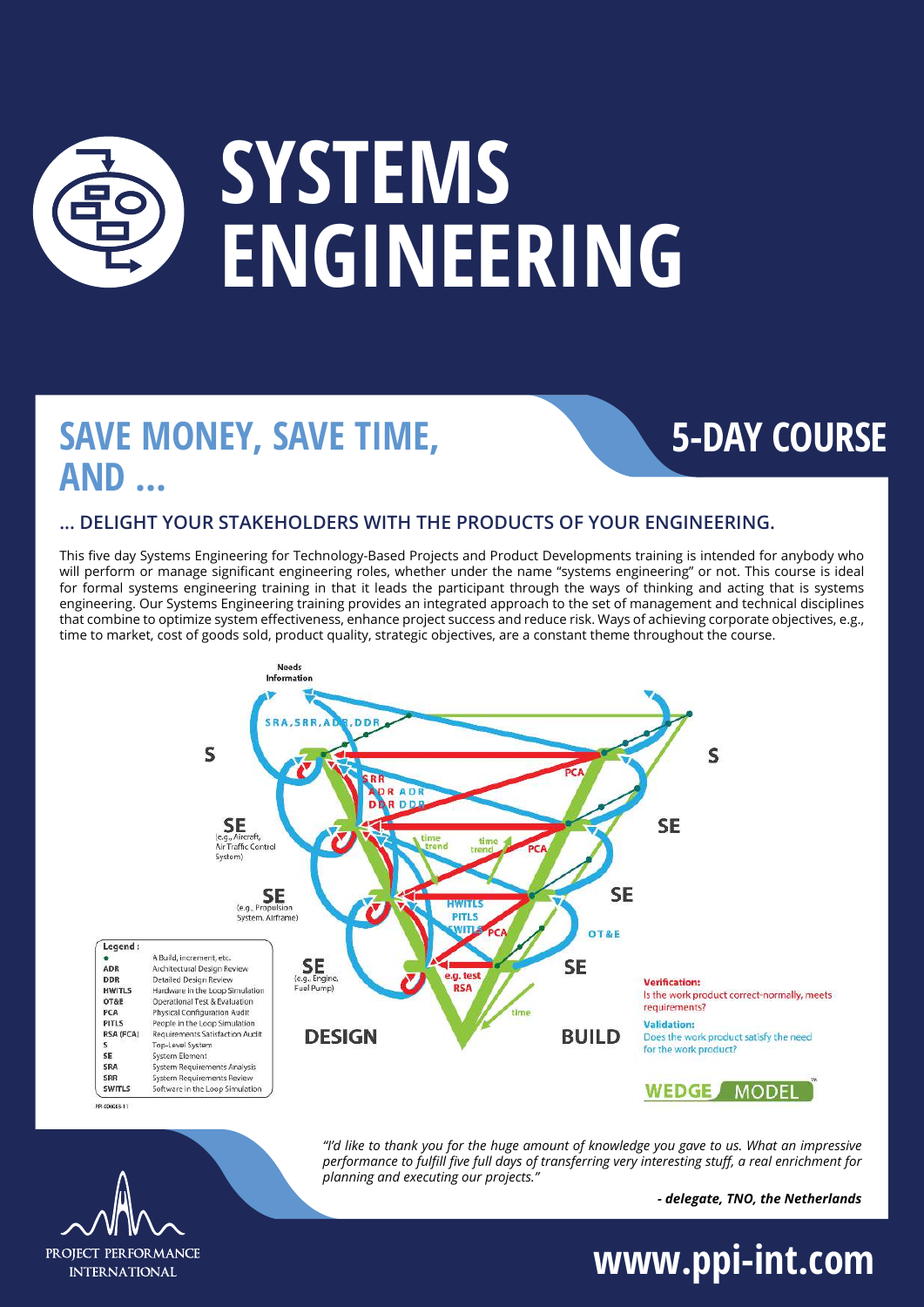# **SYSTEMS ENGINEERING**

### **SAVE MONEY, SAVE TIME, AND ...**

### **5-DAY COURSE**

### **... DELIGHT YOUR STAKEHOLDERS WITH THE PRODUCTS OF YOUR ENGINEERING.**

This five day Systems Engineering for Technology-Based Projects and Product Developments training is intended for anybody who will perform or manage significant engineering roles, whether under the name "systems engineering" or not. This course is ideal for formal systems engineering training in that it leads the participant through the ways of thinking and acting that is systems engineering. Our Systems Engineering training provides an integrated approach to the set of management and technical disciplines that combine to optimize system effectiveness, enhance project success and reduce risk. Ways of achieving corporate objectives, e.g., time to market, cost of goods sold, product quality, strategic objectives, are a constant theme throughout the course.



*"I'd like to thank you for the huge amount of knowledge you gave to us. What an impressive performance to fulfill five full days of transferring very interesting stuff, a real enrichment for planning and executing our projects."*

*- delegate, TNO, the Netherlands*

PROJECT PERFORMANCE **INTERNATIONAL** 

**www.ppi-int.com**